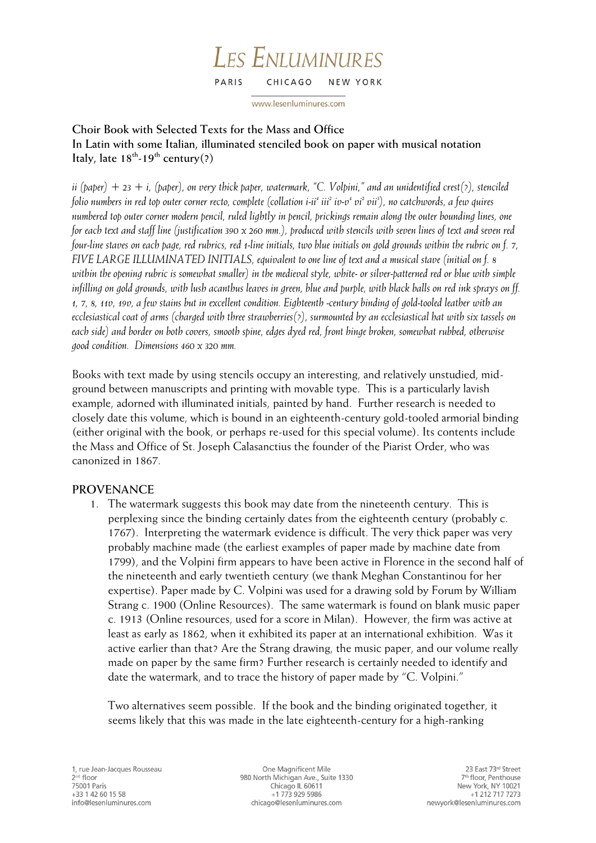#### **LES ENLUMINURES** PARIS CHICAGO NEW YORK

www.lesenluminures.com

# **Choir Book with Selected Texts for the Mass and Office In Latin with some Italian, illuminated stenciled book on paper with musical notation Italy, late 18th -19th century(?)**

*ii (paper)*  $+$  23  $+$  *i, (paper), on very thick paper, watermark, "C. Volpini," and an unidentified crest(?), stenciled folio numbers in red top outer corner recto, complete (collation i-ii<sup>4</sup> iii2 iv-v 4 vi2 vii3 ), no catchwords, a few quires numbered top outer corner modern pencil, ruled lightly in pencil, prickings remain along the outer bounding lines, one for each text and staff line (justification 390 x 260 mm.), produced with stencils with seven lines of text and seven red four-line staves on each page, red rubrics, red 1-line initials, two blue initials on gold grounds within the rubric on f. 7, FIVE LARGE ILLUMINATED INITIALS, equivalent to one line of text and a musical stave (initial on f. 8 within the opening rubric is somewhat smaller) in the medieval style, white- or silver-patterned red or blue with simple infilling on gold grounds, with lush acanthus leaves in green, blue and purple, with black balls on red ink sprays on ff. 1, 7, 8, 11v, 19v, a few stains but in excellent condition. Eighteenth -century binding of gold-tooled leather with an ecclesiastical coat of arms (charged with three strawberries(?), surmounted by an ecclesiastical hat with six tassels on each side) and border on both covers, smooth spine, edges dyed red, front hinge broken, somewhat rubbed, otherwise good condition. Dimensions 460 x 320 mm.*

Books with text made by using stencils occupy an interesting, and relatively unstudied, midground between manuscripts and printing with movable type. This is a particularly lavish example, adorned with illuminated initials, painted by hand. Further research is needed to closely date this volume, which is bound in an eighteenth-century gold-tooled armorial binding (either original with the book, or perhaps re-used for this special volume). Its contents include the Mass and Office of St. Joseph Calasanctius the founder of the Piarist Order, who was canonized in 1867.

## **PROVENANCE**

1. The watermark suggests this book may date from the nineteenth century. This is perplexing since the binding certainly dates from the eighteenth century (probably c. 1767). Interpreting the watermark evidence is difficult. The very thick paper was very probably machine made (the earliest examples of paper made by machine date from 1799), and the Volpini firm appears to have been active in Florence in the second half of the nineteenth and early twentieth century (we thank Meghan Constantinou for her expertise). Paper made by C. Volpini was used for a drawing sold by Forum by William Strang c. 1900 (Online Resources). The same watermark is found on blank music paper c. 1913 (Online resources, used for a score in Milan). However, the firm was active at least as early as 1862, when it exhibited its paper at an international exhibition. Was it active earlier than that? Are the Strang drawing, the music paper, and our volume really made on paper by the same firm? Further research is certainly needed to identify and date the watermark, and to trace the history of paper made by "C. Volpini."

Two alternatives seem possible. If the book and the binding originated together, it seems likely that this was made in the late eighteenth-century for a high-ranking

One Magnificent Mile 980 North Michigan Ave., Suite 1330 Chicago IL 60611 +1 773 929 5986 chicago@lesenluminures.com

23 East 73rd Street 7<sup>th</sup> floor, Penthouse New York, NY 10021 +1 212 717 7273 newyork@lesenluminures.com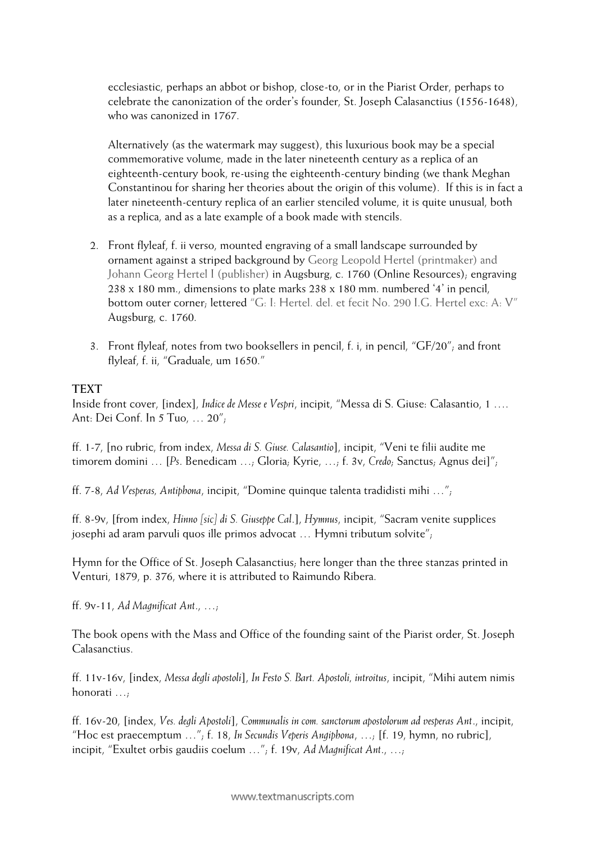ecclesiastic, perhaps an abbot or bishop, close-to, or in the Piarist Order, perhaps to celebrate the canonization of the order's founder, St. Joseph Calasanctius (1556-1648), who was canonized in 1767.

Alternatively (as the watermark may suggest), this luxurious book may be a special commemorative volume, made in the later nineteenth century as a replica of an eighteenth-century book, re-using the eighteenth-century binding (we thank Meghan Constantinou for sharing her theories about the origin of this volume). If this is in fact a later nineteenth-century replica of an earlier stenciled volume, it is quite unusual, both as a replica, and as a late example of a book made with stencils.

- 2. Front flyleaf, f. ii verso, mounted engraving of a small landscape surrounded by ornament against a striped background by Georg Leopold Hertel (printmaker) and Johann Georg Hertel I (publisher) in Augsburg, c. 1760 (Online Resources); engraving 238 x 180 mm., dimensions to plate marks 238 x 180 mm. numbered '4' in pencil, bottom outer corner; lettered "G: I: Hertel. del. et fecit No. 290 I.G. Hertel exc: A: V" Augsburg, c. 1760.
- 3. Front flyleaf, notes from two booksellers in pencil, f. i, in pencil, "GF/20"; and front flyleaf, f. ii, "Graduale, um 1650."

### **TEXT**

Inside front cover, [index], *Indice de Messe e Vespri*, incipit, "Messa di S. Giuse: Calasantio, 1 …. Ant: Dei Conf. In 5 Tuo, … 20";

ff. 1-7, [no rubric, from index, *Messa di S. Giuse. Calasantio*], incipit, "Veni te filii audite me timorem domini … [*Ps*. Benedicam …; Gloria; Kyrie, …; f. 3v, *Credo*; Sanctus; Agnus dei]";

ff. 7-8, *Ad Vesperas, Antiphona*, incipit, "Domine quinque talenta tradidisti mihi …";

ff. 8-9v, [from index, *Hinno [sic] di S. Giuseppe Cal*.], *Hymnus*, incipit, "Sacram venite supplices josephi ad aram parvuli quos ille primos advocat … Hymni tributum solvite";

Hymn for the Office of St. Joseph Calasanctius; here longer than the three stanzas printed in Venturi, 1879, p. 376, where it is attributed to Raimundo Ribera.

ff. 9v-11, *Ad Magnificat Ant*., …;

The book opens with the Mass and Office of the founding saint of the Piarist order, St. Joseph Calasanctius.

ff. 11v-16v, [index, *Messa degli apostoli*], *In Festo S. Bart. Apostoli, introitus*, incipit, "Mihi autem nimis honorati …;

ff. 16v-20, [index, *Ves. degli Apostoli*], *Communalis in com. sanctorum apostolorum ad vesperas Ant*., incipit, "Hoc est praecemptum …"; f. 18, *In Secundis Veperis Angiphona*, …; [f. 19, hymn, no rubric], incipit, "Exultet orbis gaudiis coelum …"; f. 19v, *Ad Magnificat Ant*., …;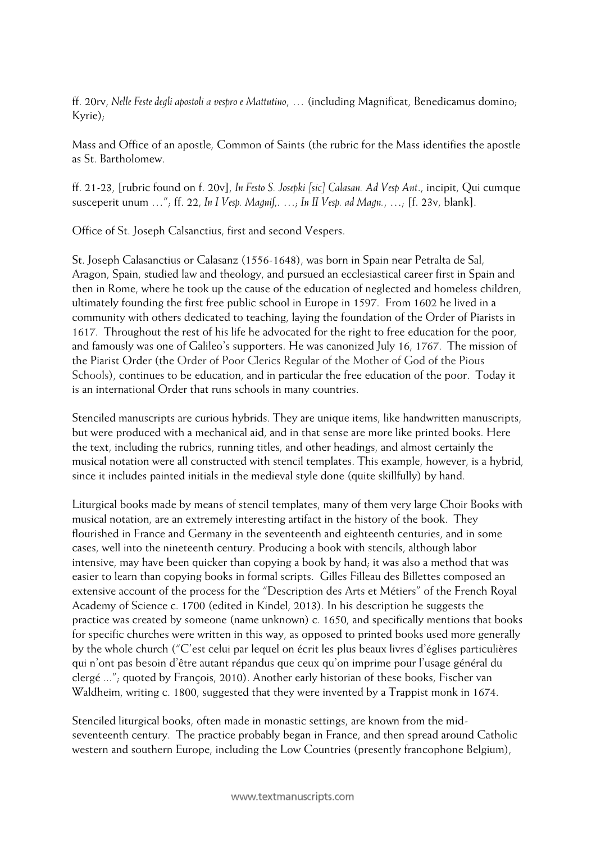ff. 20rv, *Nelle Feste degli apostoli a vespro e Mattutino*, … (including Magnificat, Benedicamus domino; Kyrie);

Mass and Office of an apostle, Common of Saints (the rubric for the Mass identifies the apostle as St. Bartholomew.

ff. 21-23, [rubric found on f. 20v], *In Festo S. Josepki [sic] Calasan. Ad Vesp Ant*., incipit, Qui cumque susceperit unum …"; ff. 22, *In I Vesp. Magnif,.* …; *In II Vesp. ad Magn.*, …; [f. 23v, blank].

Office of St. Joseph Calsanctius, first and second Vespers.

St. Joseph Calasanctius or Calasanz (1556-1648), was born in Spain near Petralta de Sal, Aragon, Spain, studied law and theology, and pursued an ecclesiastical career first in Spain and then in Rome, where he took up the cause of the education of neglected and homeless children, ultimately founding the first free public school in Europe in 1597. From 1602 he lived in a community with others dedicated to teaching, laying the foundation of the Order of Piarists in 1617. Throughout the rest of his life he advocated for the right to free education for the poor, and famously was one of Galileo's supporters. He was canonized July 16, 1767. The mission of the Piarist Order (the Order of Poor Clerics Regular of the Mother of God of the Pious Schools), continues to be education, and in particular the free education of the poor. Today it is an international Order that runs schools in many countries.

Stenciled manuscripts are curious hybrids. They are unique items, like handwritten manuscripts, but were produced with a mechanical aid, and in that sense are more like printed books. Here the text, including the rubrics, running titles, and other headings, and almost certainly the musical notation were all constructed with stencil templates. This example, however, is a hybrid, since it includes painted initials in the medieval style done (quite skillfully) by hand.

Liturgical books made by means of stencil templates, many of them very large Choir Books with musical notation, are an extremely interesting artifact in the history of the book. They flourished in France and Germany in the seventeenth and eighteenth centuries, and in some cases, well into the nineteenth century. Producing a book with stencils, although labor intensive, may have been quicker than copying a book by hand; it was also a method that was easier to learn than copying books in formal scripts. Gilles Filleau des Billettes composed an extensive account of the process for the "Description des Arts et Métiers" of the French Royal Academy of Science c. 1700 (edited in Kindel, 2013). In his description he suggests the practice was created by someone (name unknown) c. 1650, and specifically mentions that books for specific churches were written in this way, as opposed to printed books used more generally by the whole church ("C'est celui par lequel on écrit les plus beaux livres d'églises particulières qui n'ont pas besoin d'être autant répandus que ceux qu'on imprime pour l'usage général du clergé ..."; quoted by François, 2010). Another early historian of these books, Fischer van Waldheim, writing c. 1800, suggested that they were invented by a Trappist monk in 1674.

Stenciled liturgical books, often made in monastic settings, are known from the midseventeenth century. The practice probably began in France, and then spread around Catholic western and southern Europe, including the Low Countries (presently francophone Belgium),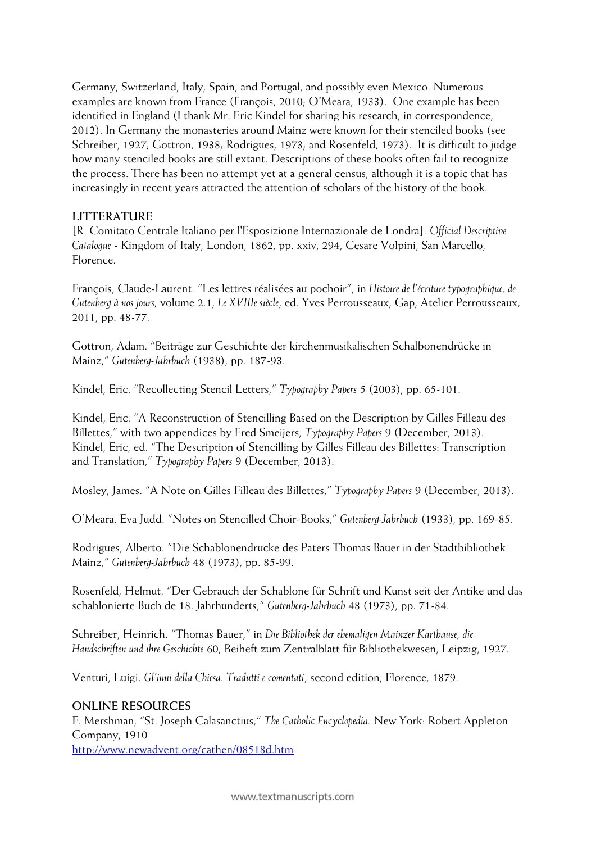Germany, Switzerland, Italy, Spain, and Portugal, and possibly even Mexico. Numerous examples are known from France (François, 2010; O'Meara, 1933). One example has been identified in England (I thank Mr. Eric Kindel for sharing his research, in correspondence, 2012). In Germany the monasteries around Mainz were known for their stenciled books (see Schreiber, 1927; Gottron, 1938; Rodrigues, 1973; and Rosenfeld, 1973). It is difficult to judge how many stenciled books are still extant. Descriptions of these books often fail to recognize the process. There has been no attempt yet at a general census, although it is a topic that has increasingly in recent years attracted the attention of scholars of the history of the book.

### **LITTERATURE**

[R. Comitato Centrale Italiano per l'Esposizione Internazionale de Londra]. *Official Descriptive Catalogue* - Kingdom of Italy, London, 1862, pp. xxiv, 294, Cesare Volpini, San Marcello, Florence.

François, Claude-Laurent. "Les lettres réalisées au pochoir", in *Histoire de l'écriture typographique, de Gutenberg à nos jours,* volume 2.1, *Le XVIIIe siècle*, ed. Yves Perrousseaux, Gap, Atelier Perrousseaux, 2011, pp. 48-77.

Gottron, Adam. "Beiträge zur Geschichte der kirchenmusikalischen Schalbonendrücke in Mainz," *Gutenberg-Jahrbuch* (1938), pp. 187-93.

Kindel, Eric. "Recollecting Stencil Letters," *Typography Papers* 5 (2003), pp. 65-101.

Kindel, Eric. "A Reconstruction of Stencilling Based on the Description by Gilles Filleau des Billettes," with two appendices by Fred Smeijers, *Typography Papers* 9 (December, 2013). Kindel, Eric, ed. "The Description of Stencilling by Gilles Filleau des Billettes: Transcription and Translation," *Typography Papers* 9 (December, 2013).

Mosley, James. "A Note on Gilles Filleau des Billettes," *Typography Papers* 9 (December, 2013).

O'Meara, Eva Judd. "Notes on Stencilled Choir-Books," *Gutenberg-Jahrbuch* (1933), pp. 169-85.

Rodrigues, Alberto. "Die Schablonendrucke des Paters Thomas Bauer in der Stadtbibliothek Mainz," *Gutenberg-Jahrbuch* 48 (1973), pp. 85-99.

Rosenfeld, Helmut. "Der Gebrauch der Schablone für Schrift und Kunst seit der Antike und das schablonierte Buch de 18. Jahrhunderts," *Gutenberg-Jahrbuch* 48 (1973), pp. 71-84.

Schreiber, Heinrich. "Thomas Bauer," in *Die Bibliothek der ehemaligen Mainzer Karthause, die Handschriften und ihre Geschichte* 60, Beiheft zum Zentralblatt für Bibliothekwesen, Leipzig, 1927.

Venturi, Luigi. *Gl'inni della Chiesa. Tradutti e comentati*, second edition, Florence, 1879.

### **ONLINE RESOURCES**

F. Mershman, "St. Joseph Calasanctius," *The Catholic Encyclopedia.* New York: Robert Appleton Company, 1910

<http://www.newadvent.org/cathen/08518d.htm>